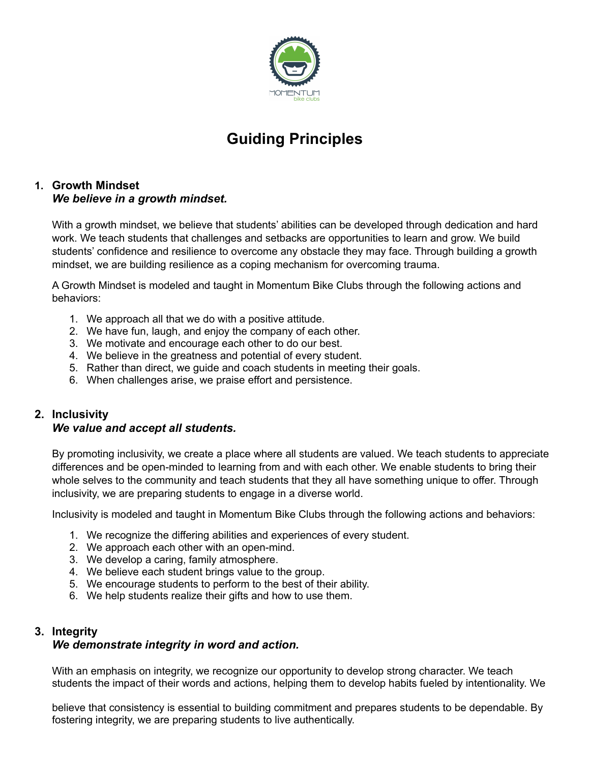

# **Guiding Principles**

## **1. Growth Mindset** *We believe in a growth mindset.*

With a growth mindset, we believe that students' abilities can be developed through dedication and hard work. We teach students that challenges and setbacks are opportunities to learn and grow. We build students' confidence and resilience to overcome any obstacle they may face. Through building a growth mindset, we are building resilience as a coping mechanism for overcoming trauma.

A Growth Mindset is modeled and taught in Momentum Bike Clubs through the following actions and behaviors:

- 1. We approach all that we do with a positive attitude.
- 2. We have fun, laugh, and enjoy the company of each other.
- 3. We motivate and encourage each other to do our best.
- 4. We believe in the greatness and potential of every student.
- 5. Rather than direct, we guide and coach students in meeting their goals.
- 6. When challenges arise, we praise effort and persistence.

## **2. Inclusivity**

#### *We value and accept all students.*

By promoting inclusivity, we create a place where all students are valued. We teach students to appreciate differences and be open-minded to learning from and with each other. We enable students to bring their whole selves to the community and teach students that they all have something unique to offer. Through inclusivity, we are preparing students to engage in a diverse world.

Inclusivity is modeled and taught in Momentum Bike Clubs through the following actions and behaviors:

- 1. We recognize the differing abilities and experiences of every student.
- 2. We approach each other with an open-mind.
- 3. We develop a caring, family atmosphere.
- 4. We believe each student brings value to the group.
- 5. We encourage students to perform to the best of their ability.
- 6. We help students realize their gifts and how to use them.

#### **3. Integrity** *We demonstrate integrity in word and action.*

With an emphasis on integrity, we recognize our opportunity to develop strong character. We teach students the impact of their words and actions, helping them to develop habits fueled by intentionality. We

believe that consistency is essential to building commitment and prepares students to be dependable. By fostering integrity, we are preparing students to live authentically.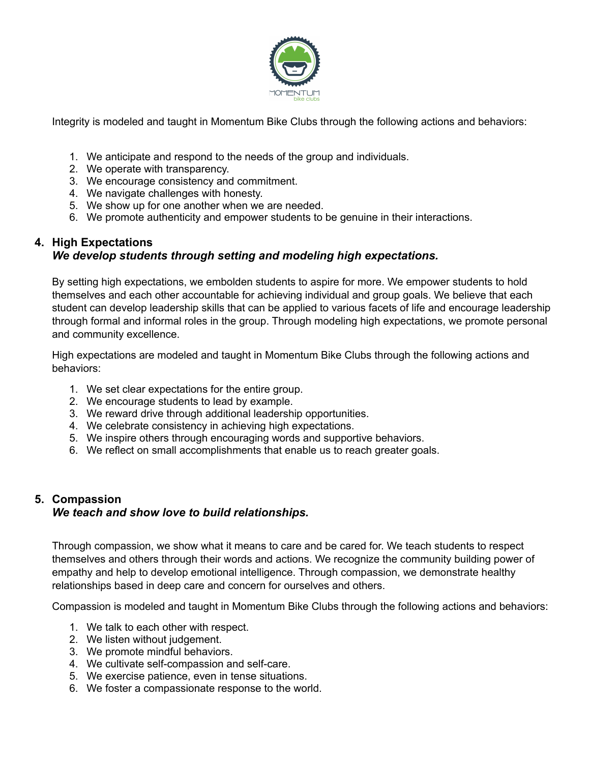

Integrity is modeled and taught in Momentum Bike Clubs through the following actions and behaviors:

- 1. We anticipate and respond to the needs of the group and individuals.
- 2. We operate with transparency.
- 3. We encourage consistency and commitment.
- 4. We navigate challenges with honesty.
- 5. We show up for one another when we are needed.
- 6. We promote authenticity and empower students to be genuine in their interactions.

## **4. High Expectations**

# *We develop students through setting and modeling high expectations.*

By setting high expectations, we embolden students to aspire for more. We empower students to hold themselves and each other accountable for achieving individual and group goals. We believe that each student can develop leadership skills that can be applied to various facets of life and encourage leadership through formal and informal roles in the group. Through modeling high expectations, we promote personal and community excellence.

High expectations are modeled and taught in Momentum Bike Clubs through the following actions and behaviors:

- 1. We set clear expectations for the entire group.
- 2. We encourage students to lead by example.
- 3. We reward drive through additional leadership opportunities.
- 4. We celebrate consistency in achieving high expectations.
- 5. We inspire others through encouraging words and supportive behaviors.
- 6. We reflect on small accomplishments that enable us to reach greater goals.

## **5. Compassion** *We teach and show love to build relationships.*

Through compassion, we show what it means to care and be cared for. We teach students to respect themselves and others through their words and actions. We recognize the community building power of empathy and help to develop emotional intelligence. Through compassion, we demonstrate healthy relationships based in deep care and concern for ourselves and others.

Compassion is modeled and taught in Momentum Bike Clubs through the following actions and behaviors:

- 1. We talk to each other with respect.
- 2. We listen without judgement.
- 3. We promote mindful behaviors.
- 4. We cultivate self-compassion and self-care.
- 5. We exercise patience, even in tense situations.
- 6. We foster a compassionate response to the world.